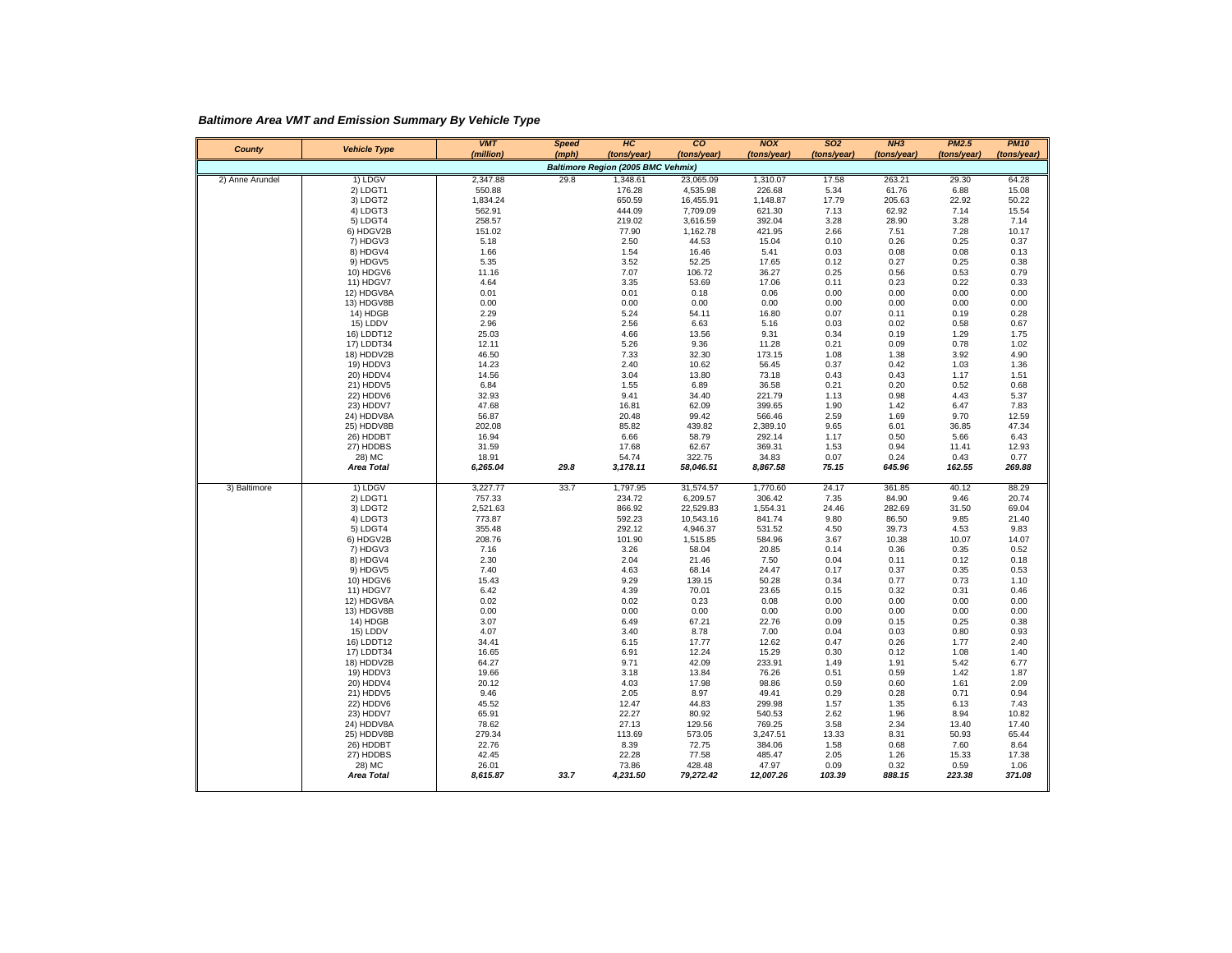*Baltimore Area VMT and Emission Summary By Vehicle Type*

| County          | <b>Vehicle Type</b>         | <b>VMT</b><br>(million) | <b>Speed</b><br>(mph) | HC<br>(tons/year)                  | co<br>(tons/year)     | <b>NOX</b><br>(tons/year) | <b>SO2</b><br>(tons/year) | NH3<br>(tons/year) | <b>PM2.5</b><br>(tons/year) | <b>PM10</b><br>(tons/year) |
|-----------------|-----------------------------|-------------------------|-----------------------|------------------------------------|-----------------------|---------------------------|---------------------------|--------------------|-----------------------------|----------------------------|
|                 |                             |                         |                       | Baltimore Region (2005 BMC Vehmix) |                       |                           |                           |                    |                             |                            |
| 2) Anne Arundel | 1) LDGV                     | 2,347.88                | 29.8                  | 1,348.61                           | 23,065.09             | 1,310.07                  | 17.58                     | 263.21             | 29.30                       | 64.28                      |
|                 | 2) LDGT1                    | 550.88                  |                       | 176.28                             | 4,535.98              | 226.68                    | 5.34                      | 61.76              | 6.88                        | 15.08                      |
|                 | 3) LDGT2                    | 1,834.24                |                       | 650.59                             | 16,455.91             | 1,148.87                  | 17.79                     | 205.63             | 22.92                       | 50.22                      |
|                 | 4) LDGT3                    | 562.91                  |                       | 444.09                             | 7,709.09              | 621.30                    | 7.13                      | 62.92              | 7.14                        | 15.54                      |
|                 | 5) LDGT4                    | 258.57                  |                       | 219.02                             | 3,616.59              | 392.04                    | 3.28                      | 28.90              | 3.28                        | 7.14                       |
|                 | 6) HDGV2B                   | 151.02                  |                       | 77.90                              | 1,162.78              | 421.95                    | 2.66                      | 7.51               | 7.28                        | 10.17                      |
|                 | 7) HDGV3                    | 5.18                    |                       | 2.50                               | 44.53                 | 15.04                     | 0.10                      | 0.26               | 0.25                        | 0.37                       |
|                 | 8) HDGV4                    | 1.66                    |                       | 1.54                               | 16.46                 | 5.41                      | 0.03                      | 0.08               | 0.08                        | 0.13                       |
|                 | 9) HDGV5                    | 5.35                    |                       | 3.52                               | 52.25                 | 17.65                     | 0.12                      | 0.27               | 0.25                        | 0.38                       |
|                 | 10) HDGV6                   | 11.16                   |                       | 7.07                               | 106.72                | 36.27                     | 0.25                      | 0.56               | 0.53                        | 0.79                       |
|                 | 11) HDGV7<br>12) HDGV8A     | 4.64<br>0.01            |                       | 3.35<br>0.01                       | 53.69<br>0.18         | 17.06<br>0.06             | 0.11<br>0.00              | 0.23<br>0.00       | 0.22<br>0.00                | 0.33<br>0.00               |
|                 | 13) HDGV8B                  | 0.00                    |                       | 0.00                               | 0.00                  | 0.00                      | 0.00                      | 0.00               | 0.00                        | 0.00                       |
|                 | 14) HDGB                    | 2.29                    |                       | 5.24                               | 54.11                 | 16.80                     | 0.07                      | 0.11               | 0.19                        | 0.28                       |
|                 | 15) LDDV                    | 2.96                    |                       | 2.56                               | 6.63                  | 5.16                      | 0.03                      | 0.02               | 0.58                        | 0.67                       |
|                 | 16) LDDT12                  | 25.03                   |                       | 4.66                               | 13.56                 | 9.31                      | 0.34                      | 0.19               | 1.29                        | 1.75                       |
|                 | 17) LDDT34                  | 12.11                   |                       | 5.26                               | 9.36                  | 11.28                     | 0.21                      | 0.09               | 0.78                        | 1.02                       |
|                 | 18) HDDV2B                  | 46.50                   |                       | 7.33                               | 32.30                 | 173.15                    | 1.08                      | 1.38               | 3.92                        | 4.90                       |
|                 | 19) HDDV3                   | 14.23                   |                       | 2.40                               | 10.62                 | 56.45                     | 0.37                      | 0.42               | 1.03                        | 1.36                       |
|                 | 20) HDDV4                   | 14.56                   |                       | 3.04                               | 13.80                 | 73.18                     | 0.43                      | 0.43               | 1.17                        | 1.51                       |
|                 | 21) HDDV5                   | 6.84                    |                       | 1.55                               | 6.89                  | 36.58                     | 0.21                      | 0.20               | 0.52                        | 0.68                       |
|                 | 22) HDDV6                   | 32.93                   |                       | 9.41                               | 34.40                 | 221.79                    | 1.13                      | 0.98               | 4.43                        | 5.37                       |
|                 | 23) HDDV7<br>24) HDDV8A     | 47.68<br>56.87          |                       | 16.81<br>20.48                     | 62.09<br>99.42        | 399.65<br>566.46          | 1.90<br>2.59              | 1.42<br>1.69       | 6.47<br>9.70                | 7.83<br>12.59              |
|                 | 25) HDDV8B                  | 202.08                  |                       | 85.82                              | 439.82                | 2,389.10                  | 9.65                      | 6.01               | 36.85                       | 47.34                      |
|                 | 26) HDDBT                   | 16.94                   |                       | 6.66                               | 58.79                 | 292.14                    | 1.17                      | 0.50               | 5.66                        | 6.43                       |
|                 | 27) HDDBS                   | 31.59                   |                       | 17.68                              | 62.67                 | 369.31                    | 1.53                      | 0.94               | 11.41                       | 12.93                      |
|                 | 28) MC                      | 18.91                   |                       | 54.74                              | 322.75                | 34.83                     | 0.07                      | 0.24               | 0.43                        | 0.77                       |
|                 | <b>Area Total</b>           | 6,265.04                | 29.8                  | 3,178.11                           | 58,046.51             | 8,867.58                  | 75.15                     | 645.96             | 162.55                      | 269.88                     |
|                 |                             |                         |                       |                                    |                       |                           |                           |                    |                             |                            |
|                 |                             |                         |                       |                                    |                       |                           |                           |                    |                             |                            |
| 3) Baltimore    | 1) LDGV                     | 3,227.77                | 33.7                  | 1,797.95                           | 31,574.57             | 1,770.60                  | 24.17                     | 361.85             | 40.12                       | 88.29                      |
|                 | 2) LDGT1<br>3) LDGT2        | 757.33<br>2,521.63      |                       | 234.72<br>866.92                   | 6,209.57<br>22,529.83 | 306.42<br>1,554.31        | 7.35<br>24.46             | 84.90<br>282.69    | 9.46<br>31.50               | 20.74<br>69.04             |
|                 | 4) LDGT3                    | 773.87                  |                       | 592.23                             | 10,543.16             | 841.74                    | 9.80                      | 86.50              | 9.85                        | 21.40                      |
|                 | 5) LDGT4                    | 355.48                  |                       | 292.12                             | 4,946.37              | 531.52                    | 4.50                      | 39.73              | 4.53                        | 9.83                       |
|                 | 6) HDGV2B                   | 208.76                  |                       | 101.90                             | 1,515.85              | 584.96                    | 3.67                      | 10.38              | 10.07                       | 14.07                      |
|                 | 7) HDGV3                    | 7.16                    |                       | 3.26                               | 58.04                 | 20.85                     | 0.14                      | 0.36               | 0.35                        | 0.52                       |
|                 | 8) HDGV4                    | 2.30                    |                       | 2.04                               | 21.46                 | 7.50                      | 0.04                      | 0.11               | 0.12                        | 0.18                       |
|                 | 9) HDGV5                    | 7.40                    |                       | 4.63                               | 68.14                 | 24.47                     | 0.17                      | 0.37               | 0.35                        | 0.53                       |
|                 | 10) HDGV6                   | 15.43                   |                       | 9.29                               | 139.15                | 50.28                     | 0.34                      | 0.77               | 0.73                        | 1.10                       |
|                 | 11) HDGV7                   | 6.42                    |                       | 4.39                               | 70.01                 | 23.65                     | 0.15                      | 0.32               | 0.31                        | 0.46                       |
|                 | 12) HDGV8A                  | 0.02                    |                       | 0.02                               | 0.23                  | 0.08                      | 0.00                      | 0.00               | 0.00                        | 0.00                       |
|                 | 13) HDGV8B<br>14) HDGB      | 0.00<br>3.07            |                       | 0.00<br>6.49                       | 0.00                  | 0.00<br>22.76             | 0.00                      | 0.00<br>0.15       | 0.00                        | 0.00<br>0.38               |
|                 | 15) LDDV                    | 4.07                    |                       | 3.40                               | 67.21<br>8.78         | 7.00                      | 0.09<br>0.04              | 0.03               | 0.25<br>0.80                | 0.93                       |
|                 | 16) LDDT12                  | 34.41                   |                       | 6.15                               | 17.77                 | 12.62                     | 0.47                      | 0.26               | 1.77                        | 2.40                       |
|                 | 17) LDDT34                  | 16.65                   |                       | 6.91                               | 12.24                 | 15.29                     | 0.30                      | 0.12               | 1.08                        | 1.40                       |
|                 | 18) HDDV2B                  | 64.27                   |                       | 9.71                               | 42.09                 | 233.91                    | 1.49                      | 1.91               | 5.42                        | 6.77                       |
|                 | 19) HDDV3                   | 19.66                   |                       | 3.18                               | 13.84                 | 76.26                     | 0.51                      | 0.59               | 1.42                        | 1.87                       |
|                 | 20) HDDV4                   | 20.12                   |                       | 4.03                               | 17.98                 | 98.86                     | 0.59                      | 0.60               | 1.61                        | 2.09                       |
|                 | 21) HDDV5                   | 9.46                    |                       | 2.05                               | 8.97                  | 49.41                     | 0.29                      | 0.28               | 0.71                        | 0.94                       |
|                 | 22) HDDV6                   | 45.52                   |                       | 12.47                              | 44.83                 | 299.98                    | 1.57                      | 1.35               | 6.13                        | 7.43                       |
|                 | 23) HDDV7                   | 65.91                   |                       | 22.27                              | 80.92                 | 540.53                    | 2.62                      | 1.96               | 8.94                        | 10.82                      |
|                 | 24) HDDV8A<br>25) HDDV8B    | 78.62<br>279.34         |                       | 27.13<br>113.69                    | 129.56<br>573.05      | 769.25<br>3,247.51        | 3.58<br>13.33             | 2.34<br>8.31       | 13.40<br>50.93              | 17.40<br>65.44             |
|                 | 26) HDDBT                   | 22.76                   |                       | 8.39                               | 72.75                 | 384.06                    | 1.58                      | 0.68               | 7.60                        | 8.64                       |
|                 | 27) HDDBS                   | 42.45                   |                       | 22.28                              | 77.58                 | 485.47                    | 2.05                      | 1.26               | 15.33                       | 17.38                      |
|                 | 28) MC<br><b>Area Total</b> | 26.01<br>8,615.87       | 33.7                  | 73.86<br>4,231.50                  | 428.48<br>79,272.42   | 47.97<br>12,007.26        | 0.09<br>103.39            | 0.32<br>888.15     | 0.59<br>223.38              | 1.06<br>371.08             |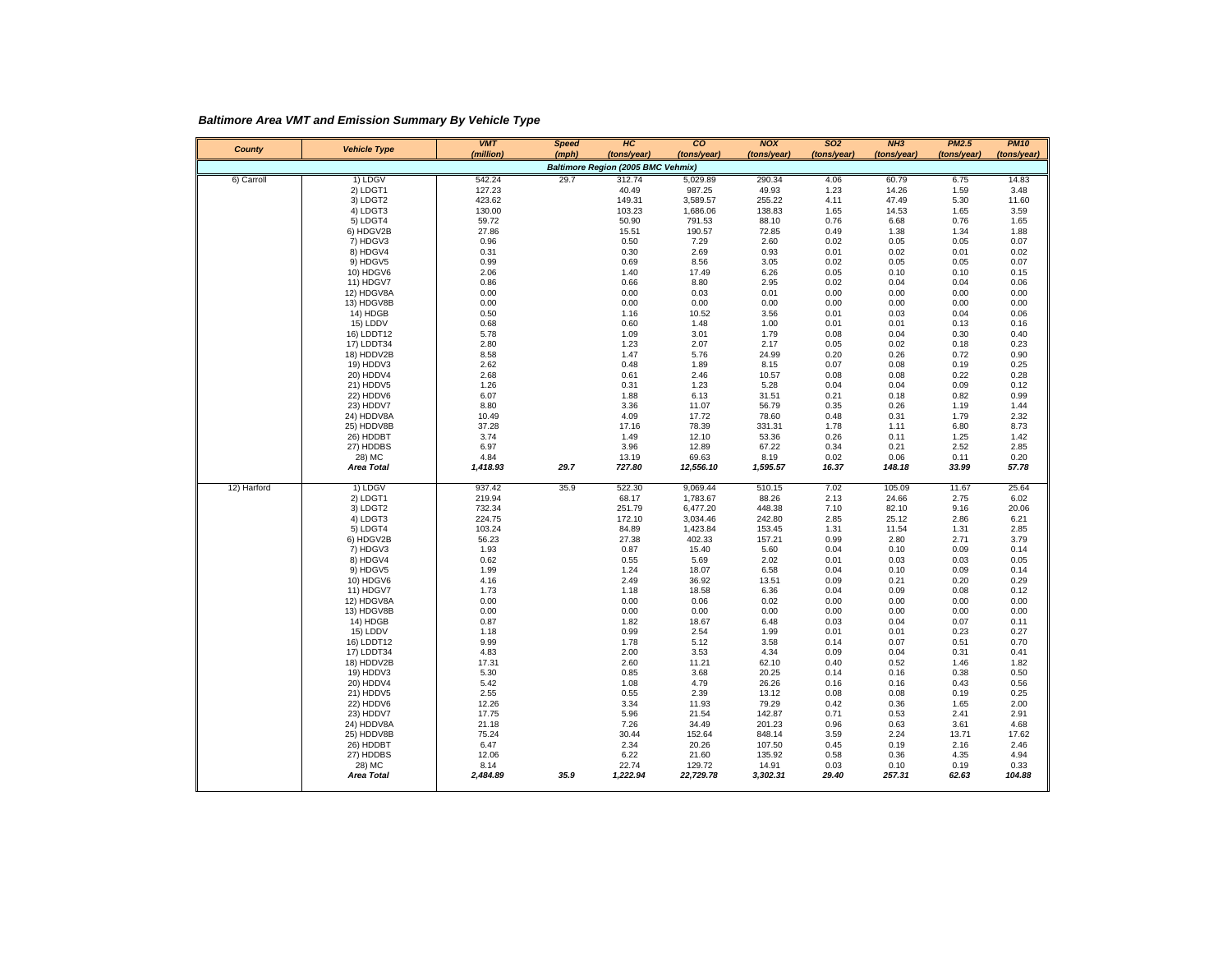*Baltimore Area VMT and Emission Summary By Vehicle Type*

| County      | <b>Vehicle Type</b>         | <b>VMT</b><br>(million) | <b>Speed</b><br>(mph) | HC<br>(tons/year)                  | co<br>(tons/year)  | <b>NOX</b><br>(tons/year) | <b>SO2</b><br>(tons/year) | NH3<br>(tons/year) | <b>PM2.5</b><br>(tons/year) | <b>PM10</b><br>(tons/year) |
|-------------|-----------------------------|-------------------------|-----------------------|------------------------------------|--------------------|---------------------------|---------------------------|--------------------|-----------------------------|----------------------------|
|             |                             |                         |                       | Baltimore Region (2005 BMC Vehmix) |                    |                           |                           |                    |                             |                            |
| 6) Carroll  | 1) LDGV                     | 542.24                  | 29.7                  | 312.74                             | 5,029.89           | 290.34                    | 4.06                      | 60.79              | 6.75                        | 14.83                      |
|             | 2) LDGT1                    | 127.23                  |                       | 40.49                              | 987.25             | 49.93                     | 1.23                      | 14.26              | 1.59                        | 3.48                       |
|             | 3) LDGT2                    | 423.62                  |                       | 149.31                             | 3,589.57           | 255.22                    | 4.11                      | 47.49              | 5.30                        | 11.60                      |
|             | 4) LDGT3                    | 130.00                  |                       | 103.23                             | 1,686.06           | 138.83                    | 1.65                      | 14.53              | 1.65                        | 3.59                       |
|             | 5) LDGT4                    | 59.72                   |                       | 50.90                              | 791.53             | 88.10                     | 0.76                      | 6.68               | 0.76                        | 1.65                       |
|             | 6) HDGV2B                   | 27.86                   |                       | 15.51                              | 190.57             | 72.85                     | 0.49                      | 1.38               | 1.34                        | 1.88                       |
|             | 7) HDGV3                    | 0.96                    |                       | 0.50                               | 7.29               | 2.60                      | 0.02                      | 0.05               | 0.05                        | 0.07                       |
|             | 8) HDGV4<br>9) HDGV5        | 0.31<br>0.99            |                       | 0.30<br>0.69                       | 2.69<br>8.56       | 0.93<br>3.05              | 0.01<br>0.02              | 0.02<br>0.05       | 0.01<br>0.05                | 0.02<br>0.07               |
|             | 10) HDGV6                   | 2.06                    |                       | 1.40                               | 17.49              | 6.26                      | 0.05                      | 0.10               | 0.10                        | 0.15                       |
|             | 11) HDGV7                   | 0.86                    |                       | 0.66                               | 8.80               | 2.95                      | 0.02                      | 0.04               | 0.04                        | 0.06                       |
|             | 12) HDGV8A                  | 0.00                    |                       | 0.00                               | 0.03               | 0.01                      | 0.00                      | 0.00               | 0.00                        | 0.00                       |
|             | 13) HDGV8B                  | 0.00                    |                       | 0.00                               | 0.00               | 0.00                      | 0.00                      | 0.00               | 0.00                        | 0.00                       |
|             | 14) HDGB                    | 0.50                    |                       | 1.16                               | 10.52              | 3.56                      | 0.01                      | 0.03               | 0.04                        | 0.06                       |
|             | 15) LDDV                    | 0.68                    |                       | 0.60                               | 1.48               | 1.00                      | 0.01                      | 0.01               | 0.13                        | 0.16                       |
|             | 16) LDDT12                  | 5.78                    |                       | 1.09                               | 3.01               | 1.79                      | 0.08                      | 0.04               | 0.30                        | 0.40                       |
|             | 17) LDDT34                  | 2.80                    |                       | 1.23                               | 2.07               | 2.17                      | 0.05                      | 0.02               | 0.18                        | 0.23                       |
|             | 18) HDDV2B<br>19) HDDV3     | 8.58<br>2.62            |                       | 1.47<br>0.48                       | 5.76<br>1.89       | 24.99<br>8.15             | 0.20<br>0.07              | 0.26<br>0.08       | 0.72<br>0.19                | 0.90<br>0.25               |
|             | 20) HDDV4                   | 2.68                    |                       | 0.61                               | 2.46               | 10.57                     | 0.08                      | 0.08               | 0.22                        | 0.28                       |
|             | 21) HDDV5                   | 1.26                    |                       | 0.31                               | 1.23               | 5.28                      | 0.04                      | 0.04               | 0.09                        | 0.12                       |
|             | 22) HDDV6                   | 6.07                    |                       | 1.88                               | 6.13               | 31.51                     | 0.21                      | 0.18               | 0.82                        | 0.99                       |
|             | 23) HDDV7                   | 8.80                    |                       | 3.36                               | 11.07              | 56.79                     | 0.35                      | 0.26               | 1.19                        | 1.44                       |
|             | 24) HDDV8A                  | 10.49                   |                       | 4.09                               | 17.72              | 78.60                     | 0.48                      | 0.31               | 1.79                        | 2.32                       |
|             | 25) HDDV8B                  | 37.28                   |                       | 17.16                              | 78.39              | 331.31                    | 1.78                      | 1.11               | 6.80                        | 8.73                       |
|             | 26) HDDBT                   | 3.74                    |                       | 1.49                               | 12.10              | 53.36                     | 0.26                      | 0.11               | 1.25                        | 1.42                       |
|             | 27) HDDBS                   | 6.97                    |                       | 3.96                               | 12.89              | 67.22                     | 0.34                      | 0.21               | 2.52                        | 2.85                       |
|             | 28) MC<br><b>Area Total</b> | 4.84<br>1,418.93        |                       | 13.19                              | 69.63<br>12,556.10 | 8.19                      | 0.02                      | 0.06               | 0.11<br>33.99               | 0.20<br>57.78              |
|             |                             |                         | 29.7                  | 727.80                             |                    | 1,595.57                  | 16.37                     | 148.18             |                             |                            |
| 12) Harford | 1) LDGV                     | 937.42                  | 35.9                  | 522.30                             | 9,069.44           | 510.15                    | 7.02                      | 105.09             | 11.67                       | 25.64                      |
|             | 2) LDGT1                    | 219.94                  |                       | 68.17                              | 1,783.67           | 88.26                     | 2.13                      | 24.66              | 2.75                        | 6.02                       |
|             | 3) LDGT2                    | 732.34                  |                       | 251.79                             | 6,477.20           | 448.38                    | 7.10                      | 82.10              | 9.16                        | 20.06                      |
|             | 4) LDGT3                    | 224.75                  |                       | 172.10                             | 3,034.46           | 242.80                    | 2.85                      | 25.12              | 2.86                        | 6.21                       |
|             | 5) LDGT4                    | 103.24                  |                       | 84.89                              | 1,423.84           | 153.45                    | 1.31                      | 11.54              | 1.31                        | 2.85                       |
|             | 6) HDGV2B<br>7) HDGV3       | 56.23<br>1.93           |                       | 27.38<br>0.87                      | 402.33<br>15.40    | 157.21<br>5.60            | 0.99<br>0.04              | 2.80<br>0.10       | 2.71<br>0.09                | 3.79<br>0.14               |
|             | 8) HDGV4                    | 0.62                    |                       | 0.55                               | 5.69               | 2.02                      | 0.01                      | 0.03               | 0.03                        | 0.05                       |
|             | 9) HDGV5                    | 1.99                    |                       | 1.24                               | 18.07              | 6.58                      | 0.04                      | 0.10               | 0.09                        | 0.14                       |
|             | 10) HDGV6                   | 4.16                    |                       | 2.49                               | 36.92              | 13.51                     | 0.09                      | 0.21               | 0.20                        | 0.29                       |
|             | 11) HDGV7                   | 1.73                    |                       | 1.18                               | 18.58              | 6.36                      | 0.04                      | 0.09               | 0.08                        | 0.12                       |
|             | 12) HDGV8A                  | 0.00                    |                       | 0.00                               | 0.06               | 0.02                      | 0.00                      | 0.00               | 0.00                        | 0.00                       |
|             | 13) HDGV8B                  | 0.00                    |                       | 0.00                               | 0.00               | 0.00                      | 0.00                      | 0.00               | 0.00                        | 0.00                       |
|             | 14) HDGB                    | 0.87                    |                       | 1.82                               | 18.67              | 6.48                      | 0.03                      | 0.04               | 0.07                        | 0.11                       |
|             | 15) LDDV                    | 1.18                    |                       | 0.99                               | 2.54               | 1.99                      | 0.01                      | 0.01               | 0.23                        | 0.27                       |
|             | 16) LDDT12<br>17) LDDT34    | 9.99<br>4.83            |                       | 1.78<br>2.00                       | 5.12<br>3.53       | 3.58<br>4.34              | 0.14<br>0.09              | 0.07<br>0.04       | 0.51<br>0.31                | 0.70<br>0.41               |
|             | 18) HDDV2B                  | 17.31                   |                       | 2.60                               | 11.21              | 62.10                     | 0.40                      | 0.52               | 1.46                        | 1.82                       |
|             | 19) HDDV3                   | 5.30                    |                       | 0.85                               | 3.68               | 20.25                     | 0.14                      | 0.16               | 0.38                        | 0.50                       |
|             | 20) HDDV4                   | 5.42                    |                       | 1.08                               | 4.79               | 26.26                     | 0.16                      | 0.16               | 0.43                        | 0.56                       |
|             | 21) HDDV5                   | 2.55                    |                       | 0.55                               | 2.39               | 13.12                     | 0.08                      | 0.08               | 0.19                        | 0.25                       |
|             | 22) HDDV6                   | 12.26                   |                       | 3.34                               | 11.93              | 79.29                     | 0.42                      | 0.36               | 1.65                        | 2.00                       |
|             | 23) HDDV7                   | 17.75                   |                       | 5.96                               | 21.54              | 142.87                    | 0.71                      | 0.53               | 2.41                        | 2.91                       |
|             | 24) HDDV8A                  | 21.18                   |                       | 7.26                               | 34.49              | 201.23                    | 0.96                      | 0.63               | 3.61                        | 4.68                       |
|             | 25) HDDV8B                  | 75.24                   |                       | 30.44                              | 152.64             | 848.14                    | 3.59                      | 2.24               | 13.71                       | 17.62                      |
|             | 26) HDDBT                   | 6.47                    |                       | 2.34                               | 20.26              | 107.50                    | 0.45                      | 0.19               | 2.16                        | 2.46                       |
|             | 27) HDDBS<br>28) MC         | 12.06<br>8.14           |                       | 6.22<br>22.74                      | 21.60<br>129.72    | 135.92<br>14.91           | 0.58<br>0.03              | 0.36<br>0.10       | 4.35<br>0.19                | 4.94<br>0.33               |
|             | <b>Area Total</b>           | 2,484.89                | 35.9                  | 1,222.94                           | 22,729.78          | 3,302.31                  | 29.40                     | 257.31             | 62.63                       | 104.88                     |
|             |                             |                         |                       |                                    |                    |                           |                           |                    |                             |                            |